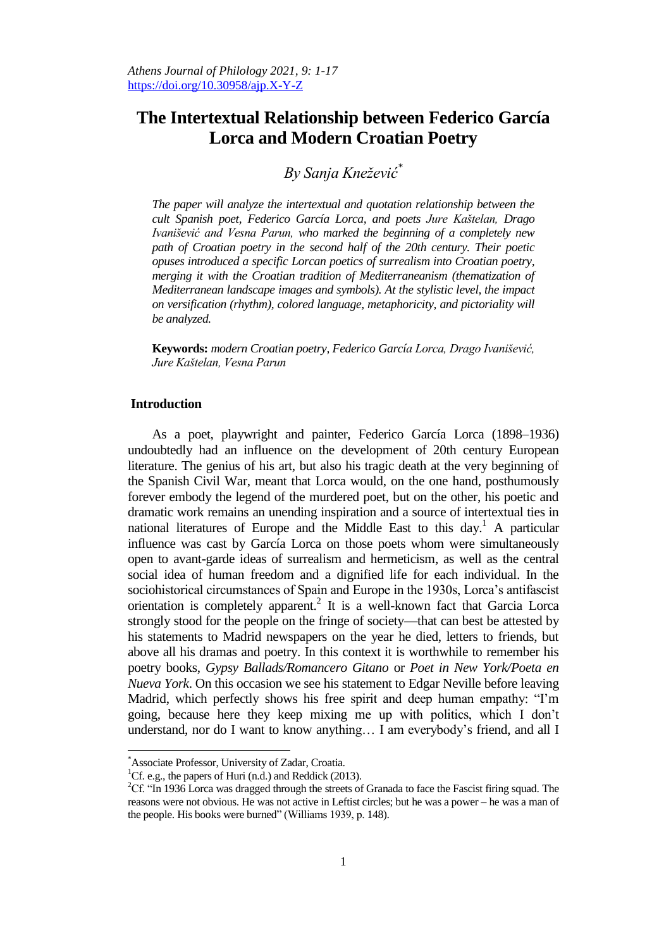# **The Intertextual Relationship between Federico García Lorca and Modern Croatian Poetry**

*By Sanja Kneţević\**

*The paper will analyze the intertextual and quotation relationship between the cult Spanish poet, Federico García Lorca, and poets Jure Kaštelan, Drago Ivanišević and Vesna Parun, who marked the beginning of a completely new path of Croatian poetry in the second half of the 20th century. Their poetic opuses introduced a specific Lorcan poetics of surrealism into Croatian poetry, merging it with the Croatian tradition of Mediterraneanism (thematization of Mediterranean landscape images and symbols). At the stylistic level, the impact on versification (rhythm), colored language, metaphoricity, and pictoriality will be analyzed.*

**Keywords:** *modern Croatian poetry, Federico García Lorca, Drago Ivanišević, Jure Kaštelan, Vesna Parun*

## **Introduction**

As a poet, playwright and painter, Federico García Lorca (1898–1936) undoubtedly had an influence on the development of 20th century European literature. The genius of his art, but also his tragic death at the very beginning of the Spanish Civil War, meant that Lorca would, on the one hand, posthumously forever embody the legend of the murdered poet, but on the other, his poetic and dramatic work remains an unending inspiration and a source of intertextual ties in national literatures of Europe and the Middle East to this day.<sup>1</sup> A particular influence was cast by García Lorca on those poets whom were simultaneously open to avant-garde ideas of surrealism and hermeticism, as well as the central social idea of human freedom and a dignified life for each individual. In the sociohistorical circumstances of Spain and Europe in the 1930s, Lorca's antifascist orientation is completely apparent. 2 It is a well-known fact that Garcia Lorca strongly stood for the people on the fringe of society—that can best be attested by his statements to Madrid newspapers on the year he died, letters to friends, but above all his dramas and poetry. In this context it is worthwhile to remember his poetry books, *Gypsy Ballads/Romancero Gitano* or *Poet in New York/Poeta en Nueva York*. On this occasion we see his statement to Edgar Neville before leaving Madrid, which perfectly shows his free spirit and deep human empathy: "I'm going, because here they keep mixing me up with politics, which I don't understand, nor do I want to know anything… I am everybody's friend, and all I

<sup>\*</sup>Associate Professor, University of Zadar, Croatia.

<sup>&</sup>lt;sup>1</sup>Cf. e.g., the papers of Huri (n.d.) and Reddick (2013).

<sup>&</sup>lt;sup>2</sup>Cf. "In 1936 Lorca was dragged through the streets of Granada to face the Fascist firing squad. The reasons were not obvious. He was not active in Leftist circles; but he was a power – he was a man of the people. His books were burned" (Williams 1939, p. 148).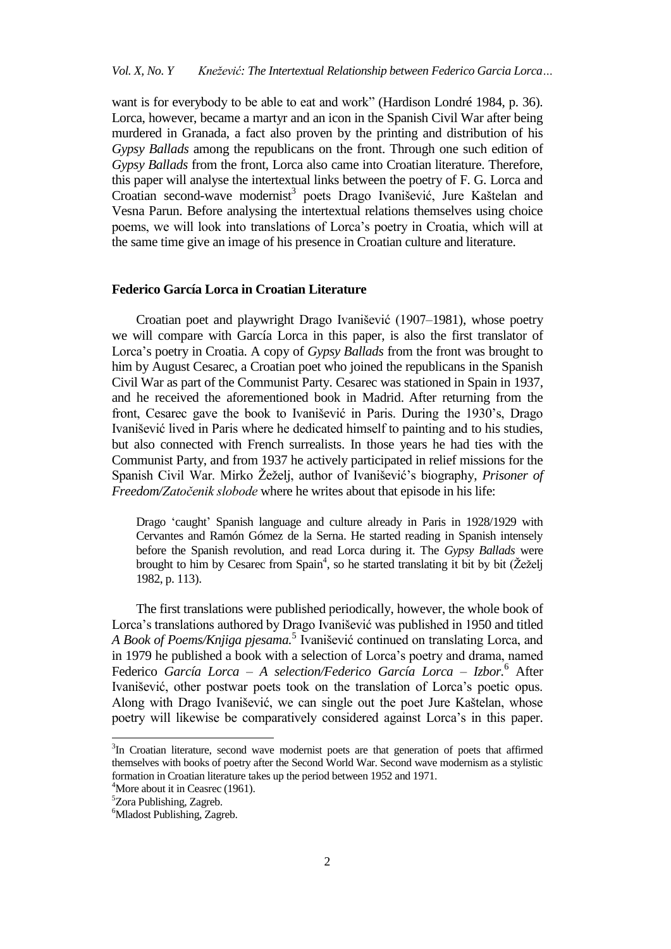want is for everybody to be able to eat and work" (Hardison Londré 1984, p. 36). Lorca, however, became a martyr and an icon in the Spanish Civil War after being murdered in Granada, a fact also proven by the printing and distribution of his *Gypsy Ballads* among the republicans on the front. Through one such edition of *Gypsy Ballads* from the front, Lorca also came into Croatian literature. Therefore, this paper will analyse the intertextual links between the poetry of F. G. Lorca and Croatian second-wave modernist<sup>3</sup> poets Drago Ivanišević, Jure Kaštelan and Vesna Parun. Before analysing the intertextual relations themselves using choice poems, we will look into translations of Lorca's poetry in Croatia, which will at the same time give an image of his presence in Croatian culture and literature.

## **Federico García Lorca in Croatian Literature**

Croatian poet and playwright Drago Ivanišević (1907–1981), whose poetry we will compare with García Lorca in this paper, is also the first translator of Lorca's poetry in Croatia. A copy of *Gypsy Ballads* from the front was brought to him by August Cesarec, a Croatian poet who joined the republicans in the Spanish Civil War as part of the Communist Party. Cesarec was stationed in Spain in 1937, and he received the aforementioned book in Madrid. After returning from the front, Cesarec gave the book to Ivanišević in Paris. During the 1930's, Drago Ivanišević lived in Paris where he dedicated himself to painting and to his studies, but also connected with French surrealists. In those years he had ties with the Communist Party, and from 1937 he actively participated in relief missions for the Spanish Civil War. Mirko Žeželj, author of Ivanišević's biography, *Prisoner of Freedom/Zatočenik slobode* where he writes about that episode in his life:

Drago ‗caught' Spanish language and culture already in Paris in 1928/1929 with Cervantes and Ramón Gómez de la Serna. He started reading in Spanish intensely before the Spanish revolution, and read Lorca during it. The *Gypsy Ballads* were brought to him by Cesarec from Spain<sup>4</sup>, so he started translating it bit by bit (Žeželj 1982, p. 113).

The first translations were published periodically, however, the whole book of Lorca's translations authored by Drago Ivanišević was published in 1950 and titled A Book of Poems/Knjiga pjesama.<sup>5</sup> Ivanišević continued on translating Lorca, and in 1979 he published a book with a selection of Lorca's poetry and drama, named Federico *García Lorca ‒ A selection/Federico García Lorca – Izbor.* <sup>6</sup> After Ivanišević, other postwar poets took on the translation of Lorca's poetic opus. Along with Drago Ivanišević, we can single out the poet Jure Kaštelan, whose poetry will likewise be comparatively considered against Lorca's in this paper.

 $\overline{a}$ 

<sup>&</sup>lt;sup>3</sup>In Croatian literature, second wave modernist poets are that generation of poets that affirmed themselves with books of poetry after the Second World War. Second wave modernism as a stylistic formation in Croatian literature takes up the period between 1952 and 1971.

 $4$ More about it in Ceasrec (1961).

<sup>5</sup>Zora Publishing, Zagreb.

<sup>&</sup>lt;sup>6</sup>Mladost Publishing, Zagreb.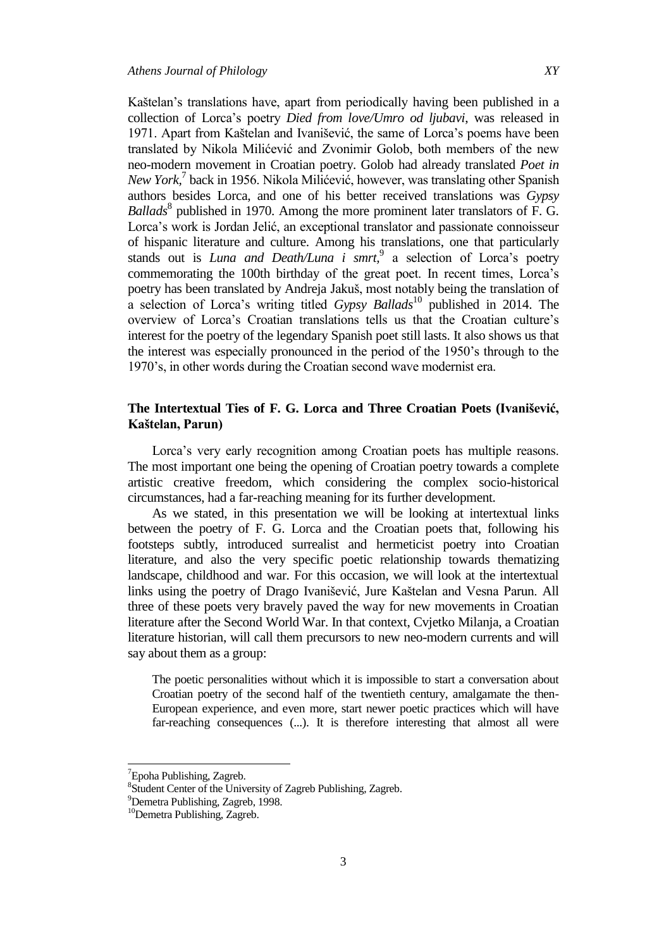Kaštelan's translations have, apart from periodically having been published in a collection of Lorca's poetry *Died from love/Umro od ljubavi*, was released in 1971. Apart from Kaštelan and Ivanišević, the same of Lorca's poems have been translated by Nikola Milićević and Zvonimir Golob, both members of the new neo-modern movement in Croatian poetry. Golob had already translated *Poet in New York,* 7 back in 1956. Nikola Milićević, however, was translating other Spanish authors besides Lorca, and one of his better received translations was *Gypsy Ballads*<sup>8</sup> published in 1970. Among the more prominent later translators of F. G. Lorca's work is Jordan Jelić, an exceptional translator and passionate connoisseur of hispanic literature and culture. Among his translations, one that particularly stands out is *Luna and Death/Luna i smrt,* 9 a selection of Lorca's poetry commemorating the 100th birthday of the great poet. In recent times, Lorca's poetry has been translated by Andreja Jakuš, most notably being the translation of a selection of Lorca's writing titled *Gypsy Ballads*<sup>10</sup> published in 2014. The overview of Lorca's Croatian translations tells us that the Croatian culture's interest for the poetry of the legendary Spanish poet still lasts. It also shows us that the interest was especially pronounced in the period of the 1950's through to the 1970's, in other words during the Croatian second wave modernist era.

# **The Intertextual Ties of F. G. Lorca and Three Croatian Poets (Ivanišević, Kaštelan, Parun)**

Lorca's very early recognition among Croatian poets has multiple reasons. The most important one being the opening of Croatian poetry towards a complete artistic creative freedom, which considering the complex socio-historical circumstances, had a far-reaching meaning for its further development.

As we stated, in this presentation we will be looking at intertextual links between the poetry of F. G. Lorca and the Croatian poets that, following his footsteps subtly, introduced surrealist and hermeticist poetry into Croatian literature, and also the very specific poetic relationship towards thematizing landscape, childhood and war. For this occasion, we will look at the intertextual links using the poetry of Drago Ivanišević, Jure Kaštelan and Vesna Parun. All three of these poets very bravely paved the way for new movements in Croatian literature after the Second World War. In that context, Cvjetko Milanja, a Croatian literature historian, will call them precursors to new neo-modern currents and will say about them as a group:

The poetic personalities without which it is impossible to start a conversation about Croatian poetry of the second half of the twentieth century, amalgamate the then-European experience, and even more, start newer poetic practices which will have far-reaching consequences (...). It is therefore interesting that almost all were

 $7$ Epoha Publishing, Zagreb.

<sup>8</sup> Student Center of the University of Zagreb Publishing, Zagreb.

<sup>9</sup>Demetra Publishing, Zagreb, 1998.

<sup>&</sup>lt;sup>10</sup>Demetra Publishing, Zagreb.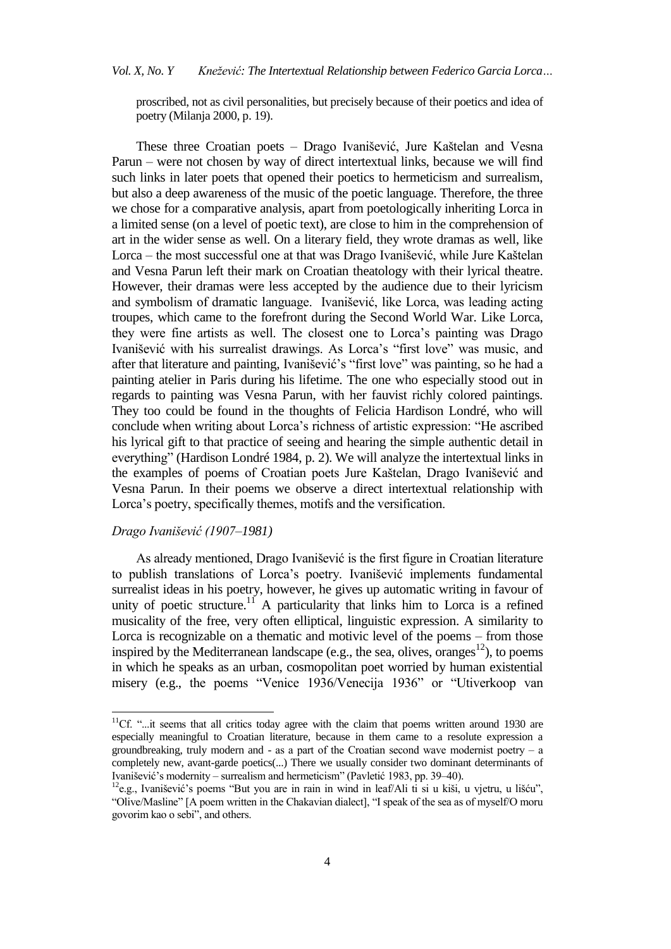proscribed, not as civil personalities, but precisely because of their poetics and idea of poetry (Milanja 2000, p. 19).

These three Croatian poets – Drago Ivanišević, Jure Kaštelan and Vesna Parun – were not chosen by way of direct intertextual links, because we will find such links in later poets that opened their poetics to hermeticism and surrealism, but also a deep awareness of the music of the poetic language. Therefore, the three we chose for a comparative analysis, apart from poetologically inheriting Lorca in a limited sense (on a level of poetic text), are close to him in the comprehension of art in the wider sense as well. On a literary field, they wrote dramas as well, like Lorca ‒ the most successful one at that was Drago Ivanišević, while Jure Kaštelan and Vesna Parun left their mark on Croatian theatology with their lyrical theatre. However, their dramas were less accepted by the audience due to their lyricism and symbolism of dramatic language. Ivanišević, like Lorca, was leading acting troupes, which came to the forefront during the Second World War. Like Lorca, they were fine artists as well. The closest one to Lorca's painting was Drago Ivanišević with his surrealist drawings. As Lorca's "first love" was music, and after that literature and painting, Ivanišević's "first love" was painting, so he had a painting atelier in Paris during his lifetime. The one who especially stood out in regards to painting was Vesna Parun, with her fauvist richly colored paintings. They too could be found in the thoughts of Felicia Hardison Londré, who will conclude when writing about Lorca's richness of artistic expression: "He ascribed his lyrical gift to that practice of seeing and hearing the simple authentic detail in everything" (Hardison Londré 1984, p. 2). We will analyze the intertextual links in the examples of poems of Croatian poets Jure Kaštelan, Drago Ivanišević and Vesna Parun. In their poems we observe a direct intertextual relationship with Lorca's poetry, specifically themes, motifs and the versification.

## *Drago Ivanišević (1907–1981)*

 $\overline{a}$ 

As already mentioned, Drago Ivanišević is the first figure in Croatian literature to publish translations of Lorca's poetry. Ivanišević implements fundamental surrealist ideas in his poetry, however, he gives up automatic writing in favour of unity of poetic structure.<sup>11</sup> A particularity that links him to Lorca is a refined musicality of the free, very often elliptical, linguistic expression. A similarity to Lorca is recognizable on a thematic and motivic level of the poems – from those inspired by the Mediterranean landscape (e.g., the sea, olives, oranges<sup>12</sup>), to poems in which he speaks as an urban, cosmopolitan poet worried by human existential misery (e.g., the poems "Venice 1936/Venecija 1936" or "Utiverkoop van

<sup>&</sup>lt;sup>11</sup>Cf. "...it seems that all critics today agree with the claim that poems written around 1930 are especially meaningful to Croatian literature, because in them came to a resolute expression a groundbreaking, truly modern and  $-$  as a part of the Croatian second wave modernist poetry  $-$  a completely new, avant-garde poetics(...) There we usually consider two dominant determinants of Ivanišević's modernity – surrealism and hermeticism" (Pavletić 1983, pp. 39–40).

 $12e.g., Ivanišević's poems 'But you are in rain in wind in leaf/Ali ti si u kiši, u vjetru, u lišću',$ "Olive/Masline" [A poem written in the Chakavian dialect], "I speak of the sea as of myself/O moru govorim kao o sebi", and others.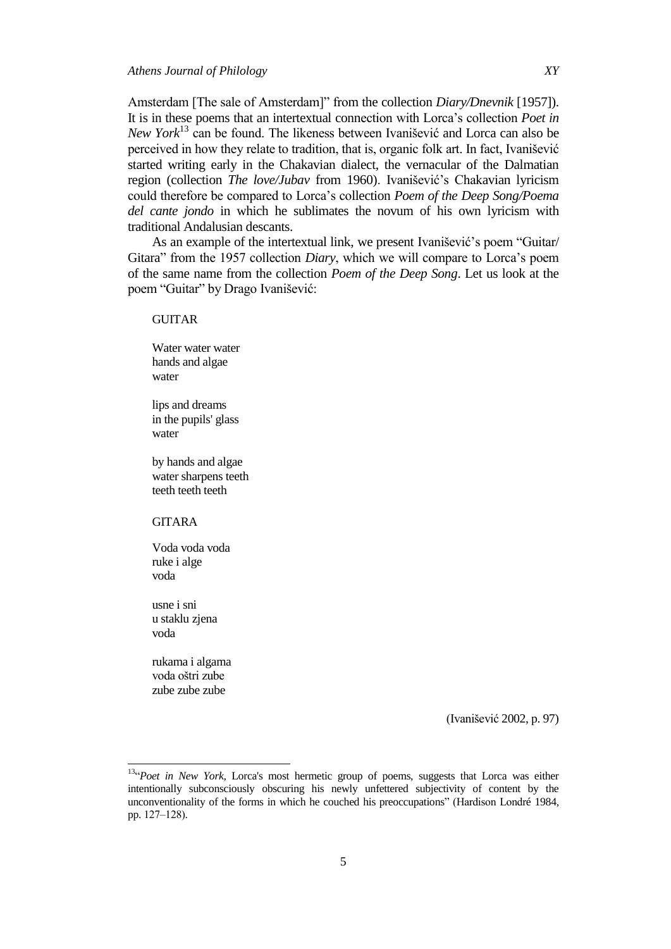Amsterdam [The sale of Amsterdam]" from the collection *Diary/Dnevnik* [1957]). It is in these poems that an intertextual connection with Lorca's collection *Poet in New York*<sup>13</sup> can be found. The likeness between Ivanišević and Lorca can also be perceived in how they relate to tradition, that is, organic folk art. In fact, Ivanišević started writing early in the Chakavian dialect, the vernacular of the Dalmatian region (collection *The love/Jubav* from 1960). Ivanišević's Chakavian lyricism could therefore be compared to Lorca's collection *Poem of the Deep Song/Poema del cante jondo* in which he sublimates the novum of his own lyricism with traditional Andalusian descants.

As an example of the intertextual link, we present Ivanišević's poem "Guitar/ Gitara" from the 1957 collection *Diary*, which we will compare to Lorca's poem of the same name from the collection *Poem of the Deep Song*. Let us look at the poem "Guitar" by Drago Ivanišević:

#### GUITAR

Water water water hands and algae water

lips and dreams in the pupils' glass water

by hands and algae water sharpens teeth teeth teeth teeth

#### GITARA

Voda voda voda ruke i alge voda

usne i sni u staklu zjena voda

rukama i algama voda oštri zube zube zube zube

(Ivanišević 2002, p. 97)

<sup>&</sup>lt;sup>13"</sup>Poet in New York, Lorca's most hermetic group of poems, suggests that Lorca was either intentionally subconsciously obscuring his newly unfettered subjectivity of content by the unconventionality of the forms in which he couched his preoccupations‖ (Hardison Londré 1984, pp. 127-128).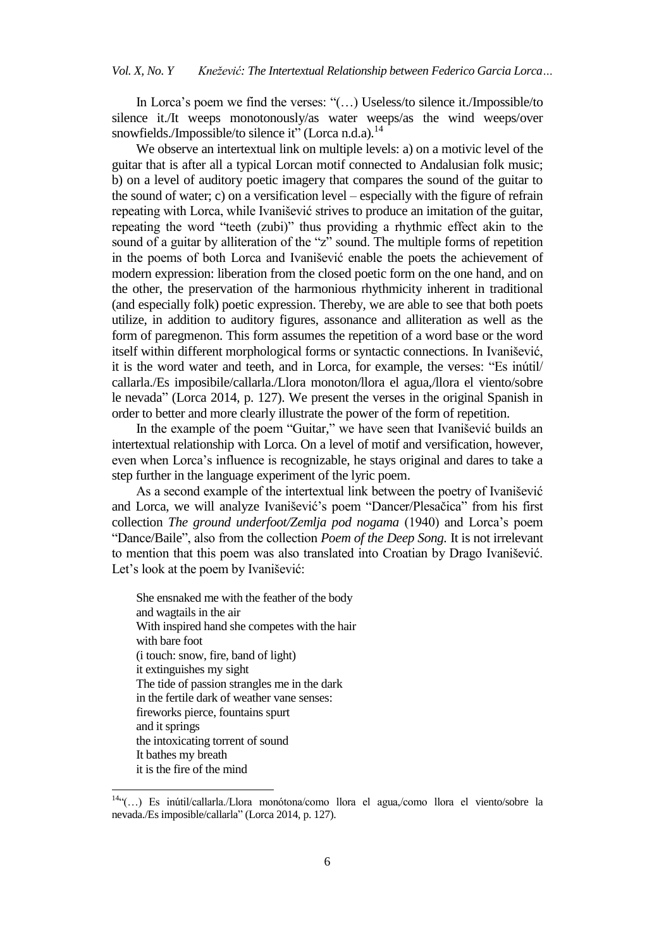In Lorca's poem we find the verses: "(...) Useless/to silence it./Impossible/to silence it./It weeps monotonously/as water weeps/as the wind weeps/over snowfields./Impossible/to silence it" (Lorca n.d.a).<sup>14</sup>

We observe an intertextual link on multiple levels: a) on a motivic level of the guitar that is after all a typical Lorcan motif connected to Andalusian folk music; b) on a level of auditory poetic imagery that compares the sound of the guitar to the sound of water; c) on a versification level – especially with the figure of refrain repeating with Lorca, while Ivanišević strives to produce an imitation of the guitar, repeating the word "teeth (zubi)" thus providing a rhythmic effect akin to the sound of a guitar by alliteration of the "z" sound. The multiple forms of repetition in the poems of both Lorca and Ivanišević enable the poets the achievement of modern expression: liberation from the closed poetic form on the one hand, and on the other, the preservation of the harmonious rhythmicity inherent in traditional (and especially folk) poetic expression. Thereby, we are able to see that both poets utilize, in addition to auditory figures, assonance and alliteration as well as the form of paregmenon. This form assumes the repetition of a word base or the word itself within different morphological forms or syntactic connections. In Ivanišević, it is the word water and teeth, and in Lorca, for example, the verses: "Es inútil/ callarla./Es imposibile/callarla./Llora monoton/llora el agua,/llora el viento/sobre le nevada" (Lorca 2014, p. 127). We present the verses in the original Spanish in order to better and more clearly illustrate the power of the form of repetition.

In the example of the poem "Guitar," we have seen that Ivanišević builds an intertextual relationship with Lorca. On a level of motif and versification, however, even when Lorca's influence is recognizable, he stays original and dares to take a step further in the language experiment of the lyric poem.

As a second example of the intertextual link between the poetry of Ivanišević and Lorca, we will analyze Ivanišević's poem "Dancer/Plesačica" from his first collection *The ground underfoot/Zemlja pod nogama* (1940) and Lorca's poem "Dance/Baile", also from the collection *Poem of the Deep Song*. It is not irrelevant to mention that this poem was also translated into Croatian by Drago Ivanišević. Let's look at the poem by Ivanišević:

She ensnaked me with the feather of the body and wagtails in the air With inspired hand she competes with the hair with bare foot (i touch: snow, fire, band of light) it extinguishes my sight The tide of passion strangles me in the dark in the fertile dark of weather vane senses: fireworks pierce, fountains spurt and it springs the intoxicating torrent of sound It bathes my breath it is the fire of the mind

<sup>14.4(...)</sup> Es inútil/callarla./Llora monótona/como llora el agua,/como llora el viento/sobre la nevada./Es imposible/callarla" (Lorca 2014, p. 127).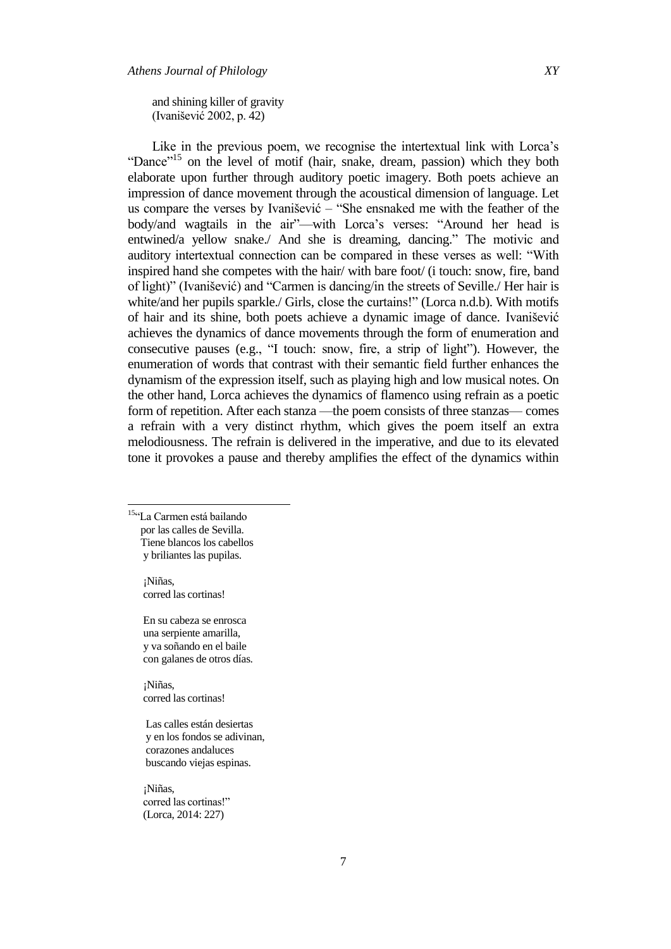and shining killer of gravity (Ivanišević 2002, p. 42)

Like in the previous poem, we recognise the intertextual link with Lorca's "Dance"<sup>15</sup> on the level of motif (hair, snake, dream, passion) which they both elaborate upon further through auditory poetic imagery. Both poets achieve an impression of dance movement through the acoustical dimension of language. Let us compare the verses by Ivanišević  $-$  "She ensnaked me with the feather of the body/and wagtails in the air"—with Lorca's verses: "Around her head is entwined/a vellow snake./ And she is dreaming, dancing." The motivic and auditory intertextual connection can be compared in these verses as well: "With inspired hand she competes with the hair/ with bare foot/ (i touch: snow, fire, band of light)" (Ivanišević) and "Carmen is dancing/in the streets of Seville./ Her hair is white/and her pupils sparkle./ Girls, close the curtains!" (Lorca [n.d.b\)](https://www.lieder.net/lieder/get_text.html?TextId=58361). With motifs of hair and its shine, both poets achieve a dynamic image of dance. Ivanišević achieves the dynamics of dance movements through the form of enumeration and consecutive pauses (e.g.,  $\lq$  touch: snow, fire, a strip of light"). However, the enumeration of words that contrast with their semantic field further enhances the dynamism of the expression itself, such as playing high and low musical notes. On the other hand, Lorca achieves the dynamics of flamenco using refrain as a poetic form of repetition. After each stanza —the poem consists of three stanzas— comes a refrain with a very distinct rhythm, which gives the poem itself an extra melodiousness. The refrain is delivered in the imperative, and due to its elevated tone it provokes a pause and thereby amplifies the effect of the dynamics within

<sup>15</sup>"La Carmen está bailando por las calles de Sevilla. Tiene blancos los cabellos y briliantes las pupilas.

 $\overline{a}$ 

 ¡Niñas, corred las cortinas!

 En su cabeza se enrosca una serpiente amarilla, y va soñando en el baile con galanes de otros días.

 ¡Niñas, corred las cortinas!

 Las calles están desiertas y en los fondos se adivinan, corazones andaluces buscando viejas espinas.

 ¡Niñas, corred las cortinas!" (Lorca, 2014: 227)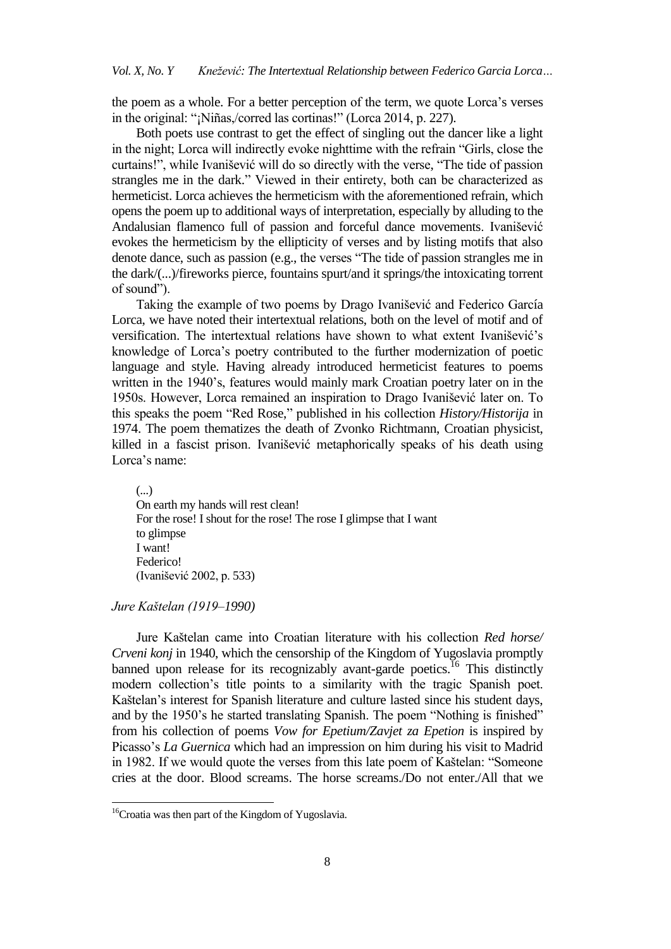the poem as a whole. For a better perception of the term, we quote Lorca's verses in the original: "¡Niñas,/corred las cortinas!" (Lorca 2014, p. 227).

Both poets use contrast to get the effect of singling out the dancer like a light in the night; Lorca will indirectly evoke nighttime with the refrain "Girls, close the curtains!", while Ivanišević will do so directly with the verse, "The tide of passion strangles me in the dark." Viewed in their entirety, both can be characterized as hermeticist. Lorca achieves the hermeticism with the aforementioned refrain, which opens the poem up to additional ways of interpretation, especially by alluding to the Andalusian flamenco full of passion and forceful dance movements. Ivanišević evokes the hermeticism by the ellipticity of verses and by listing motifs that also denote dance, such as passion (e.g., the verses "The tide of passion strangles me in the dark/(...)/fireworks pierce, fountains spurt/and it springs/the intoxicating torrent of sound").

Taking the example of two poems by Drago Ivanišević and Federico García Lorca, we have noted their intertextual relations, both on the level of motif and of versification. The intertextual relations have shown to what extent Ivanišević's knowledge of Lorca's poetry contributed to the further modernization of poetic language and style. Having already introduced hermeticist features to poems written in the 1940's, features would mainly mark Croatian poetry later on in the 1950s. However, Lorca remained an inspiration to Drago Ivanišević later on. To this speaks the poem "Red Rose," published in his collection *History/Historija* in 1974. The poem thematizes the death of Zvonko Richtmann, Croatian physicist, killed in a fascist prison. Ivanišević metaphorically speaks of his death using Lorca's name:

(...) On earth my hands will rest clean! For the rose! I shout for the rose! The rose I glimpse that I want to glimpse I want! Federico! (Ivanišević 2002, p. 533)

#### *Jure Kaštelan (1919–1990)*

 $\overline{a}$ 

Jure Kaštelan came into Croatian literature with his collection *Red horse/ Crveni konj* in 1940, which the censorship of the Kingdom of Yugoslavia promptly banned upon release for its recognizably avant-garde poetics.<sup>16</sup> This distinctly modern collection's title points to a similarity with the tragic Spanish poet. Kaštelan's interest for Spanish literature and culture lasted since his student days, and by the 1950's he started translating Spanish. The poem "Nothing is finished" from his collection of poems *Vow for Epetium/Zavjet za Epetion* is inspired by Picasso's *La Guernica* which had an impression on him during his visit to Madrid in 1982. If we would quote the verses from this late poem of Kaštelan: "Someone cries at the door. Blood screams. The horse screams./Do not enter./All that we

<sup>&</sup>lt;sup>16</sup>Croatia was then part of the Kingdom of Yugoslavia.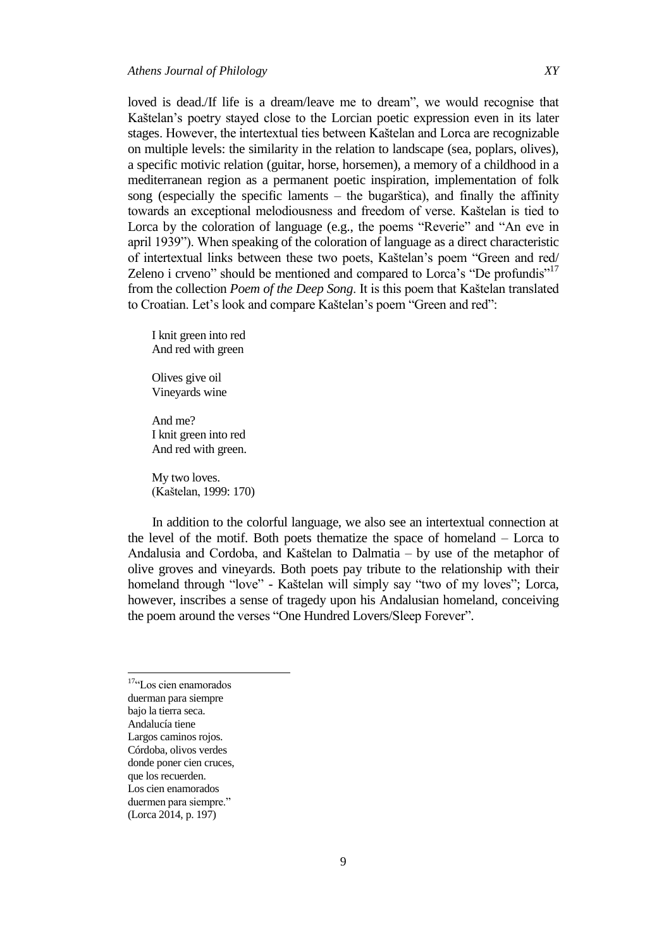loved is dead./If life is a dream/leave me to dream", we would recognise that Kaštelan's poetry stayed close to the Lorcian poetic expression even in its later stages. However, the intertextual ties between Kaštelan and Lorca are recognizable on multiple levels: the similarity in the relation to landscape (sea, poplars, olives), a specific motivic relation (guitar, horse, horsemen), a memory of a childhood in a mediterranean region as a permanent poetic inspiration, implementation of folk song (especially the specific laments  $-$  the bugarštica), and finally the affinity towards an exceptional melodiousness and freedom of verse. Kaštelan is tied to Lorca by the coloration of language (e.g., the poems "Reverie" and "An eve in april 1939"). When speaking of the coloration of language as a direct characteristic of intertextual links between these two poets, Kaštelan's poem "Green and red/ Zeleno i crveno" should be mentioned and compared to Lorca's "De profundis"<sup>17</sup> from the collection *Poem of the Deep Song*. It is this poem that Kaštelan translated to Croatian. Let's look and compare Kaštelan's poem "Green and red":

I knit green into red And red with green

Olives give oil Vineyards wine

And me? I knit green into red And red with green.

My two loves. (Kaštelan, 1999: 170)

In addition to the colorful language, we also see an intertextual connection at the level of the motif. Both poets thematize the space of homeland – Lorca to Andalusia and Cordoba, and Kaštelan to Dalmatia – by use of the metaphor of olive groves and vineyards. Both poets pay tribute to the relationship with their homeland through "love" - Kaštelan will simply say "two of my loves"; Lorca, however, inscribes a sense of tragedy upon his Andalusian homeland, conceiving the poem around the verses "One Hundred Lovers/Sleep Forever".

 17"Los cien enamorados duerman para siempre bajo la tierra seca. Andalucía tiene Largos caminos rojos. Córdoba, olivos verdes donde poner cien cruces, que los recuerden. Los cien enamorados duermen para siempre." (Lorca 2014, p. 197)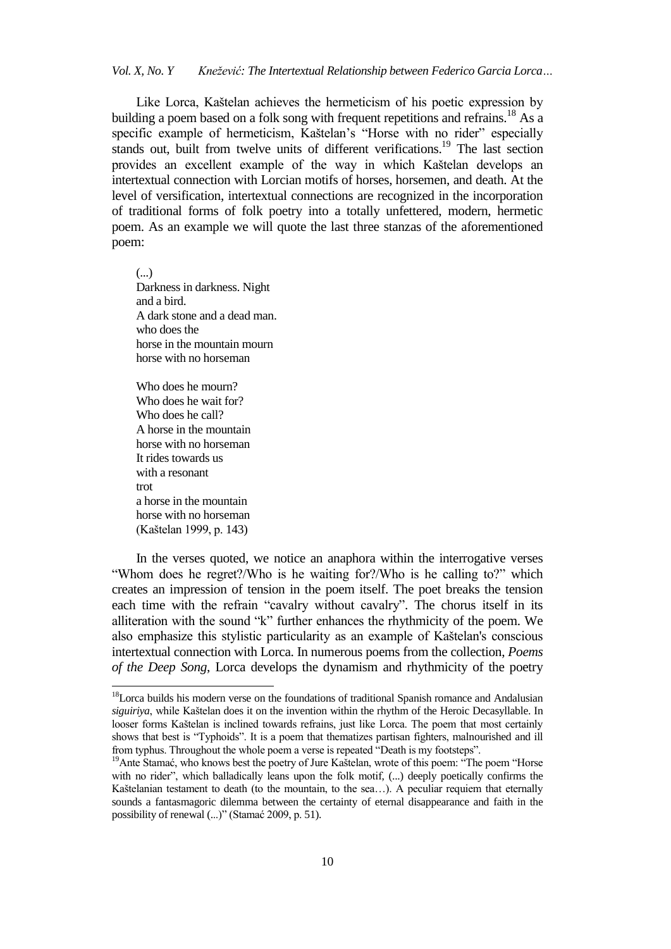Like Lorca, Kaštelan achieves the hermeticism of his poetic expression by building a poem based on a folk song with frequent repetitions and refrains.<sup>18</sup> As a specific example of hermeticism, Kaštelan's "Horse with no rider" especially stands out, built from twelve units of different verifications.<sup>19</sup> The last section provides an excellent example of the way in which Kaštelan develops an intertextual connection with Lorcian motifs of horses, horsemen, and death. At the level of versification, intertextual connections are recognized in the incorporation of traditional forms of folk poetry into a totally unfettered, modern, hermetic poem. As an example we will quote the last three stanzas of the aforementioned poem:

(...) Darkness in darkness. Night and a bird. A dark stone and a dead man. who does the horse in the mountain mourn horse with no horseman

Who does he mourn? Who does he wait for? Who does he call? A horse in the mountain horse with no horseman It rides towards us with a resonant trot a horse in the mountain horse with no horseman (Kaštelan 1999, p. 143)

 $\overline{a}$ 

In the verses quoted, we notice an anaphora within the interrogative verses "Whom does he regret?/Who is he waiting for?/Who is he calling to?" which creates an impression of tension in the poem itself. The poet breaks the tension each time with the refrain "cavalry without cavalry". The chorus itself in its alliteration with the sound  $K$ " further enhances the rhythmicity of the poem. We also emphasize this stylistic particularity as an example of Kaštelan's conscious intertextual connection with Lorca. In numerous poems from the collection, *Poems of the Deep Song*, Lorca develops the dynamism and rhythmicity of the poetry

<sup>&</sup>lt;sup>18</sup>Lorca builds his modern verse on the foundations of traditional Spanish romance and Andalusian *siguiriya*, while Kaštelan does it on the invention within the rhythm of the Heroic Decasyllable. In looser forms Kaštelan is inclined towards refrains, just like Lorca. The poem that most certainly shows that best is "Typhoids". It is a poem that thematizes partisan fighters, malnourished and ill from typhus. Throughout the whole poem a verse is repeated "Death is my footsteps".

<sup>&</sup>lt;sup>19</sup>Ante Stamać, who knows best the poetry of Jure Kaštelan, wrote of this poem: "The poem "Horse with no rider", which balladically leans upon the folk motif, (...) deeply poetically confirms the Kaštelanian testament to death (to the mountain, to the sea…). A peculiar requiem that eternally sounds a fantasmagoric dilemma between the certainty of eternal disappearance and faith in the possibility of renewal (...)" (Stamać 2009, p. 51).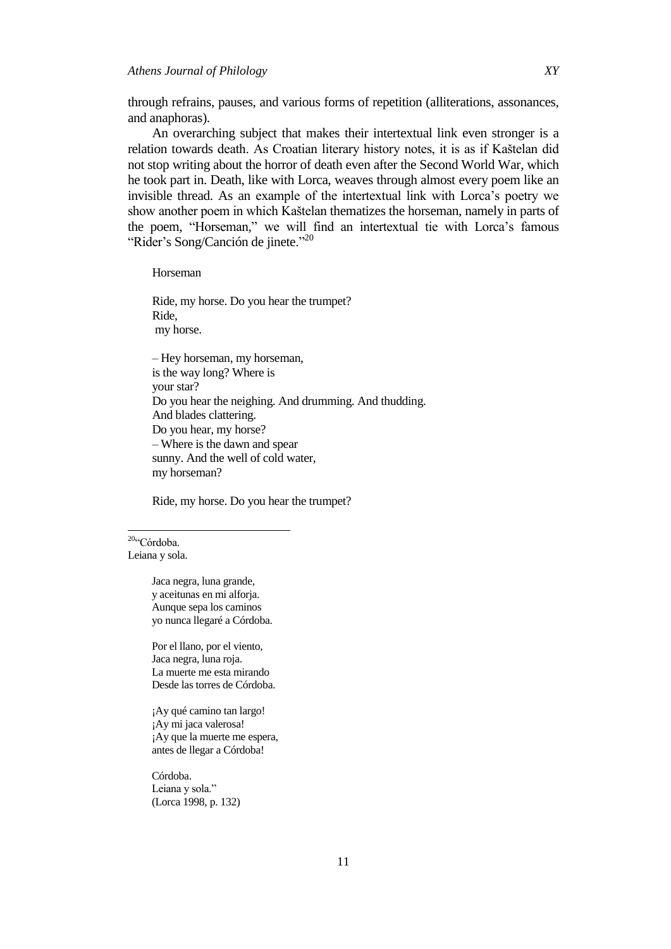through refrains, pauses, and various forms of repetition (alliterations, assonances, and anaphoras).

An overarching subject that makes their intertextual link even stronger is a relation towards death. As Croatian literary history notes, it is as if Kaštelan did not stop writing about the horror of death even after the Second World War, which he took part in. Death, like with Lorca, weaves through almost every poem like an invisible thread. As an example of the intertextual link with Lorca's poetry we show another poem in which Kaštelan thematizes the horseman, namely in parts of the poem, "Horseman," we will find an intertextual tie with Lorca's famous "Rider's Song/Canción de jinete."<sup>20</sup>

Horseman

Ride, my horse. Do you hear the trumpet? Ride, my horse.

‒ Hey horseman, my horseman, is the way long? Where is your star? Do you hear the neighing. And drumming. And thudding. And blades clattering. Do you hear, my horse? ‒ Where is the dawn and spear sunny. And the well of cold water, my horseman?

Ride, my horse. Do you hear the trumpet?

<sup>20</sup>"Córdoba. Leiana y sola.

 $\overline{a}$ 

Jaca negra, luna grande, y aceitunas en mi alforja. Aunque sepa los caminos yo nunca llegaré a Córdoba.

Por el llano, por el viento, Jaca negra, luna roja. La muerte me esta mirando Desde las torres de Córdoba.

¡Ay qué camino tan largo! ¡Ay mi jaca valerosa! ¡Ay que la muerte me espera, antes de llegar a Córdoba!

Córdoba. Leiana y sola." (Lorca 1998, p. 132)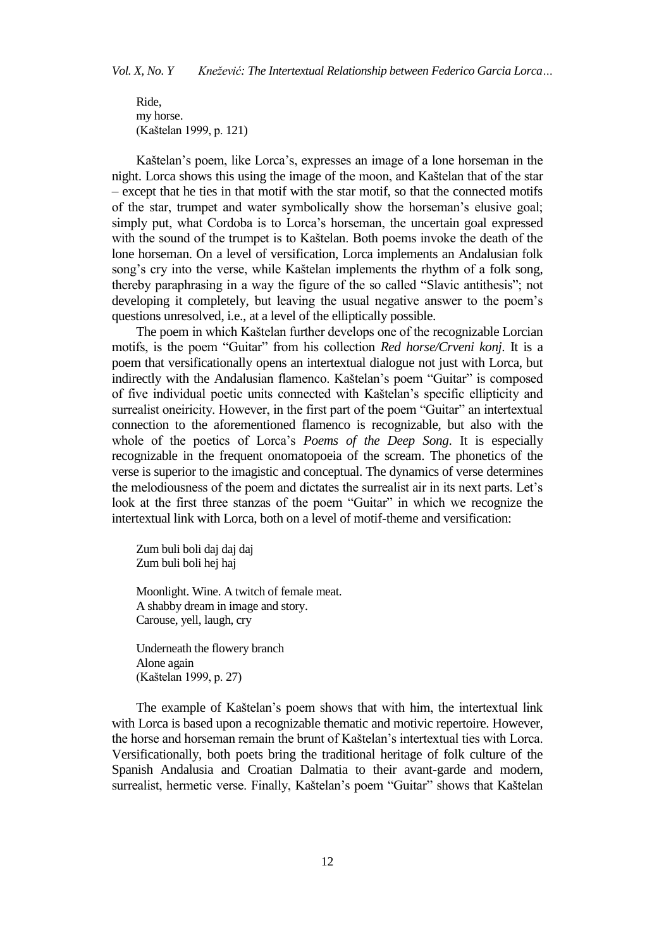Ride, my horse. (Kaštelan 1999, p. 121)

Kaštelan's poem, like Lorca's, expresses an image of a lone horseman in the night. Lorca shows this using the image of the moon, and Kaštelan that of the star ‒ except that he ties in that motif with the star motif, so that the connected motifs of the star, trumpet and water symbolically show the horseman's elusive goal; simply put, what Cordoba is to Lorca's horseman, the uncertain goal expressed with the sound of the trumpet is to Kaštelan. Both poems invoke the death of the lone horseman. On a level of versification, Lorca implements an Andalusian folk song's cry into the verse, while Kaštelan implements the rhythm of a folk song, thereby paraphrasing in a way the figure of the so called "Slavic antithesis"; not developing it completely, but leaving the usual negative answer to the poem's questions unresolved, i.e., at a level of the elliptically possible.

The poem in which Kaštelan further develops one of the recognizable Lorcian motifs, is the poem "Guitar" from his collection *Red horse/Crveni konj*. It is a poem that versificationally opens an intertextual dialogue not just with Lorca, but indirectly with the Andalusian flamenco. Kaštelan's poem "Guitar" is composed of five individual poetic units connected with Kaštelan's specific ellipticity and surrealist oneiricity. However, in the first part of the poem "Guitar" an intertextual connection to the aforementioned flamenco is recognizable, but also with the whole of the poetics of Lorca's *Poems of the Deep Song*. It is especially recognizable in the frequent onomatopoeia of the scream. The phonetics of the verse is superior to the imagistic and conceptual. The dynamics of verse determines the melodiousness of the poem and dictates the surrealist air in its next parts. Let's look at the first three stanzas of the poem "Guitar" in which we recognize the intertextual link with Lorca, both on a level of motif-theme and versification:

Zum buli boli daj daj daj Zum buli boli hej haj

Moonlight. Wine. A twitch of female meat. A shabby dream in image and story. Carouse, yell, laugh, cry

Underneath the flowery branch Alone again (Kaštelan 1999, p. 27)

The example of Kaštelan's poem shows that with him, the intertextual link with Lorca is based upon a recognizable thematic and motivic repertoire. However, the horse and horseman remain the brunt of Kaštelan's intertextual ties with Lorca. Versificationally, both poets bring the traditional heritage of folk culture of the Spanish Andalusia and Croatian Dalmatia to their avant-garde and modern, surrealist, hermetic verse. Finally, Kaštelan's poem "Guitar" shows that Kaštelan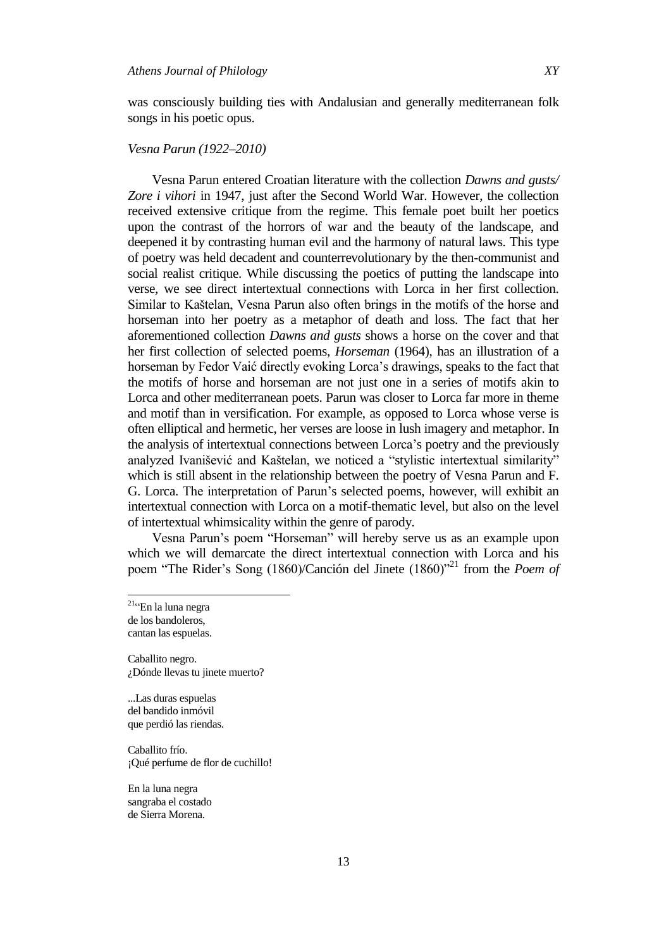was consciously building ties with Andalusian and generally mediterranean folk songs in his poetic opus.

# *Vesna Parun (1922–2010)*

Vesna Parun entered Croatian literature with the collection *Dawns and gusts/ Zore i vihori* in 1947, just after the Second World War. However, the collection received extensive critique from the regime. This female poet built her poetics upon the contrast of the horrors of war and the beauty of the landscape, and deepened it by contrasting human evil and the harmony of natural laws. This type of poetry was held decadent and counterrevolutionary by the then-communist and social realist critique. While discussing the poetics of putting the landscape into verse, we see direct intertextual connections with Lorca in her first collection. Similar to Kaštelan, Vesna Parun also often brings in the motifs of the horse and horseman into her poetry as a metaphor of death and loss. The fact that her aforementioned collection *Dawns and gusts* shows a horse on the cover and that her first collection of selected poems, *Horseman* (1964), has an illustration of a horseman by Fedor Vaić directly evoking Lorca's drawings, speaks to the fact that the motifs of horse and horseman are not just one in a series of motifs akin to Lorca and other mediterranean poets. Parun was closer to Lorca far more in theme and motif than in versification. For example, as opposed to Lorca whose verse is often elliptical and hermetic, her verses are loose in lush imagery and metaphor. In the analysis of intertextual connections between Lorca's poetry and the previously analyzed Ivanišević and Kaštelan, we noticed a "stylistic intertextual similarity" which is still absent in the relationship between the poetry of Vesna Parun and F. G. Lorca. The interpretation of Parun's selected poems, however, will exhibit an intertextual connection with Lorca on a motif-thematic level, but also on the level of intertextual whimsicality within the genre of parody.

Vesna Parun's poem "Horseman" will hereby serve us as an example upon which we will demarcate the direct intertextual connection with Lorca and his poem "The Rider's Song (1860)/Canción del Jinete (1860)"<sup>21</sup> from the *Poem of* 

 $\overline{a}$ 

Caballito negro. ¿Dónde llevas tu jinete muerto?

...Las duras espuelas del bandido inmóvil que perdió las riendas.

Caballito frío. ¡Qué perfume de flor de cuchillo!

En la luna negra sangraba el costado de Sierra Morena.

<sup>&</sup>lt;sup>21</sup>"En la luna negra de los bandoleros, cantan las espuelas.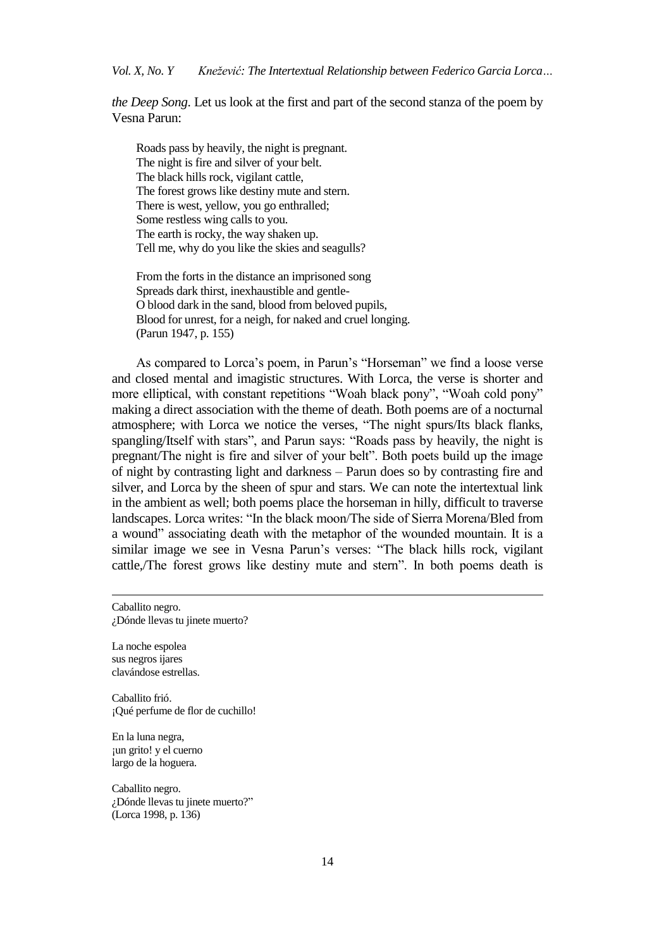*the Deep Song*. Let us look at the first and part of the second stanza of the poem by Vesna Parun:

Roads pass by heavily, the night is pregnant. The night is fire and silver of your belt. The black hills rock, vigilant cattle, The forest grows like destiny mute and stern. There is west, yellow, you go enthralled; Some restless wing calls to you. The earth is rocky, the way shaken up. Tell me, why do you like the skies and seagulls?

From the forts in the distance an imprisoned song Spreads dark thirst, inexhaustible and gentle-O blood dark in the sand, blood from beloved pupils, Blood for unrest, for a neigh, for naked and cruel longing. (Parun 1947, p. 155)

As compared to Lorca's poem, in Parun's "Horseman" we find a loose verse and closed mental and imagistic structures. With Lorca, the verse is shorter and more elliptical, with constant repetitions "Woah black pony", "Woah cold pony" making a direct association with the theme of death. Both poems are of a nocturnal atmosphere; with Lorca we notice the verses, "The night spurs/Its black flanks, spangling/Itself with stars", and Parun says: "Roads pass by heavily, the night is pregnant/The night is fire and silver of your belt". Both poets build up the image of night by contrasting light and darkness ‒ Parun does so by contrasting fire and silver, and Lorca by the sheen of spur and stars. We can note the intertextual link in the ambient as well; both poems place the horseman in hilly, difficult to traverse landscapes. Lorca writes: "In the black moon/The side of Sierra Morena/Bled from a wound" associating death with the metaphor of the wounded mountain. It is a similar image we see in Vesna Parun's verses: "The black hills rock, vigilant cattle,/The forest grows like destiny mute and stern". In both poems death is

Caballito negro. ¿Dónde llevas tu jinete muerto?

La noche espolea sus negros ijares clavándose estrellas.

-

Caballito frió. ¡Qué perfume de flor de cuchillo!

En la luna negra, ¡un grito! y el cuerno largo de la hoguera.

Caballito negro. ¿Dónde llevas tu jinete muerto?" (Lorca 1998, p. 136)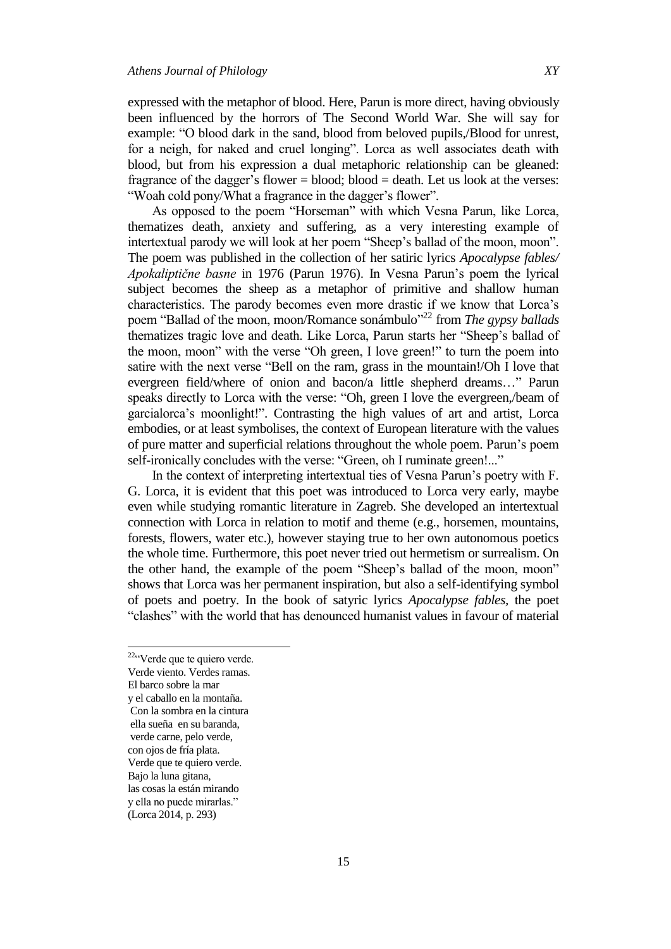expressed with the metaphor of blood. Here, Parun is more direct, having obviously been influenced by the horrors of The Second World War. She will say for example: "O blood dark in the sand, blood from beloved pupils, Blood for unrest, for a neigh, for naked and cruel longing". Lorca as well associates death with blood, but from his expression a dual metaphoric relationship can be gleaned: fragrance of the dagger's flower  $=$  blood; blood  $=$  death. Let us look at the verses: "Woah cold pony/What a fragrance in the dagger's flower".

As opposed to the poem "Horseman" with which Vesna Parun, like Lorca, thematizes death, anxiety and suffering, as a very interesting example of intertextual parody we will look at her poem "Sheep's ballad of the moon, moon". The poem was published in the collection of her satiric lyrics *Apocalypse fables/ Apokaliptične basne* in 1976 (Parun 1976). In Vesna Parun's poem the lyrical subject becomes the sheep as a metaphor of primitive and shallow human characteristics. The parody becomes even more drastic if we know that Lorca's poem "Ballad of the moon, moon/Romance sonámbulo"<sup>22</sup> from *The gypsy ballads* thematizes tragic love and death. Like Lorca, Parun starts her "Sheep's ballad of the moon, moon" with the verse "Oh green, I love green!" to turn the poem into satire with the next verse "Bell on the ram, grass in the mountain!/Oh I love that evergreen field/where of onion and bacon/a little shepherd dreams..." Parun speaks directly to Lorca with the verse: "Oh, green I love the evergreen,/beam of garcialorca's moonlight!". Contrasting the high values of art and artist, Lorca embodies, or at least symbolises, the context of European literature with the values of pure matter and superficial relations throughout the whole poem. Parun's poem self-ironically concludes with the verse: "Green, oh I ruminate green!..."

In the context of interpreting intertextual ties of Vesna Parun's poetry with F. G. Lorca, it is evident that this poet was introduced to Lorca very early, maybe even while studying romantic literature in Zagreb. She developed an intertextual connection with Lorca in relation to motif and theme (e.g., horsemen, mountains, forests, flowers, water etc.), however staying true to her own autonomous poetics the whole time. Furthermore, this poet never tried out hermetism or surrealism. On the other hand, the example of the poem "Sheep's ballad of the moon, moon" shows that Lorca was her permanent inspiration, but also a self-identifying symbol of poets and poetry. In the book of satyric lyrics *Apocalypse fables,* the poet "clashes" with the world that has denounced humanist values in favour of material

<sup>22</sup><sup>c</sup>Verde que te quiero verde.

- Verde viento. Verdes ramas.
- El barco sobre la mar
- y el caballo en la montaña.
- Con la sombra en la cintura
- ella sueña en su baranda,
- verde carne, pelo verde,

con ojos de fría plata.

- Verde que te quiero verde.
- Bajo la luna gitana, las cosas la están mirando
- y ella no puede mirarlas."
- (Lorca 2014, p. 293)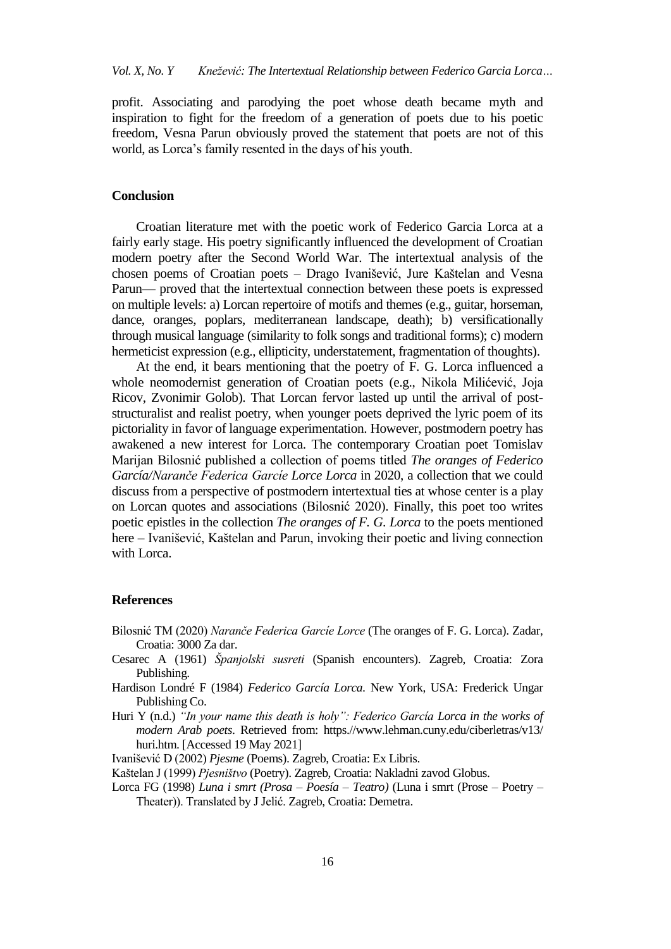profit. Associating and parodying the poet whose death became myth and inspiration to fight for the freedom of a generation of poets due to his poetic freedom, Vesna Parun obviously proved the statement that poets are not of this world, as Lorca's family resented in the days of his youth.

#### **Conclusion**

Croatian literature met with the poetic work of Federico Garcia Lorca at a fairly early stage. His poetry significantly influenced the development of Croatian modern poetry after the Second World War. The intertextual analysis of the chosen poems of Croatian poets - Drago Ivanišević, Jure Kaštelan and Vesna Parun— proved that the intertextual connection between these poets is expressed on multiple levels: a) Lorcan repertoire of motifs and themes (e.g., guitar, horseman, dance, oranges, poplars, mediterranean landscape, death); b) versificationally through musical language (similarity to folk songs and traditional forms); c) modern hermeticist expression (e.g., ellipticity, understatement, fragmentation of thoughts).

At the end, it bears mentioning that the poetry of F. G. Lorca influenced a whole neomodernist generation of Croatian poets (e.g., Nikola Milićević, Joja Ricov, Zvonimir Golob). That Lorcan fervor lasted up until the arrival of poststructuralist and realist poetry, when younger poets deprived the lyric poem of its pictoriality in favor of language experimentation. However, postmodern poetry has awakened a new interest for Lorca. The contemporary Croatian poet Tomislav Marijan Bilosnić published a collection of poems titled *The oranges of Federico García/Naranče Federica Garcíe Lorce Lorca* in 2020, a collection that we could discuss from a perspective of postmodern intertextual ties at whose center is a play on Lorcan quotes and associations (Bilosnić 2020). Finally, this poet too writes poetic epistles in the collection *The oranges of F. G. Lorca* to the poets mentioned here – Ivanišević, Kaštelan and Parun, invoking their poetic and living connection with Lorca.

#### **References**

- Bilosnić TM (2020) *Naranče Federica Garcíe Lorce* (The oranges of F. G. Lorca). Zadar, Croatia: 3000 Za dar.
- Cesarec A (1961) *Španjolski susreti* (Spanish encounters). Zagreb, Croatia: Zora Publishing.
- Hardison Londré F (1984) *Federico García Lorca.* New York, USA: Frederick Ungar Publishing Co.
- Huri Y (n.d.) *"In your name this death is holy": Federico García Lorca in the works of modern Arab poets*. Retrieved from: https.//www.lehman.cuny.edu/ciberletras/v13/ huri.htm. [Accessed 19 May 2021]
- Ivanišević D (2002) *Pjesme* (Poems). Zagreb, Croatia: Ex Libris.

Lorca FG (1998) *Luna i smrt (Prosa – Poesía – Teatro)* (Luna i smrt (Prose – Poetry – Theater)). Translated by J Jelić. Zagreb, Croatia: Demetra.

Kaštelan J (1999) *Pjesništvo* (Poetry). Zagreb, Croatia: Nakladni zavod Globus.